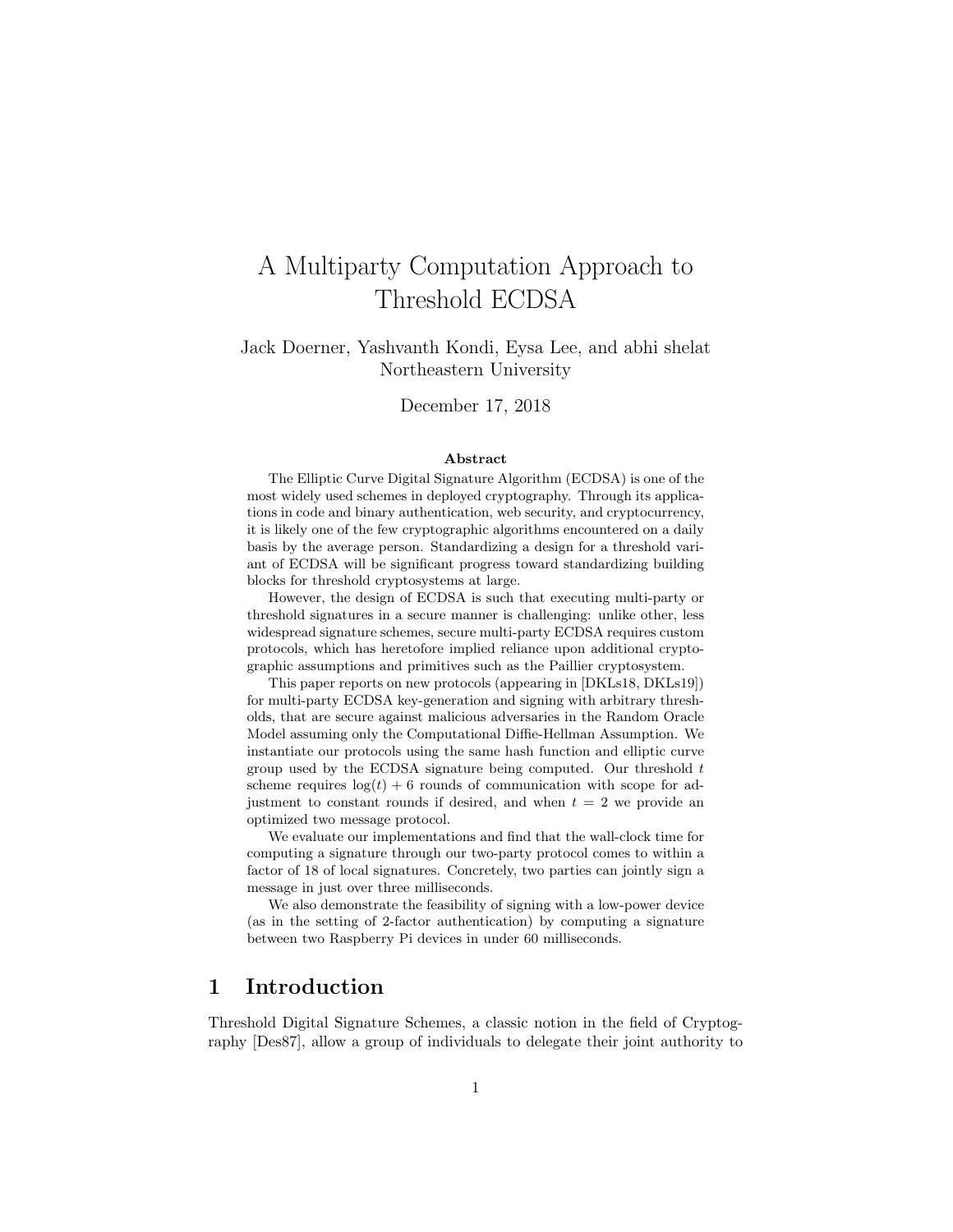# A Multiparty Computation Approach to Threshold ECDSA

Jack Doerner, Yashvanth Kondi, Eysa Lee, and abhi shelat Northeastern University

December 17, 2018

#### Abstract

The Elliptic Curve Digital Signature Algorithm (ECDSA) is one of the most widely used schemes in deployed cryptography. Through its applications in code and binary authentication, web security, and cryptocurrency, it is likely one of the few cryptographic algorithms encountered on a daily basis by the average person. Standardizing a design for a threshold variant of ECDSA will be significant progress toward standardizing building blocks for threshold cryptosystems at large.

However, the design of ECDSA is such that executing multi-party or threshold signatures in a secure manner is challenging: unlike other, less widespread signature schemes, secure multi-party ECDSA requires custom protocols, which has heretofore implied reliance upon additional cryptographic assumptions and primitives such as the Paillier cryptosystem.

This paper reports on new protocols (appearing in [DKLs18, DKLs19]) for multi-party ECDSA key-generation and signing with arbitrary thresholds, that are secure against malicious adversaries in the Random Oracle Model assuming only the Computational Diffie-Hellman Assumption. We instantiate our protocols using the same hash function and elliptic curve group used by the ECDSA signature being computed. Our threshold  $t$ scheme requires  $log(t) + 6$  rounds of communication with scope for adjustment to constant rounds if desired, and when  $t = 2$  we provide an optimized two message protocol.

We evaluate our implementations and find that the wall-clock time for computing a signature through our two-party protocol comes to within a factor of 18 of local signatures. Concretely, two parties can jointly sign a message in just over three milliseconds.

We also demonstrate the feasibility of signing with a low-power device (as in the setting of 2-factor authentication) by computing a signature between two Raspberry Pi devices in under 60 milliseconds.

## 1 Introduction

Threshold Digital Signature Schemes, a classic notion in the field of Cryptography [Des87], allow a group of individuals to delegate their joint authority to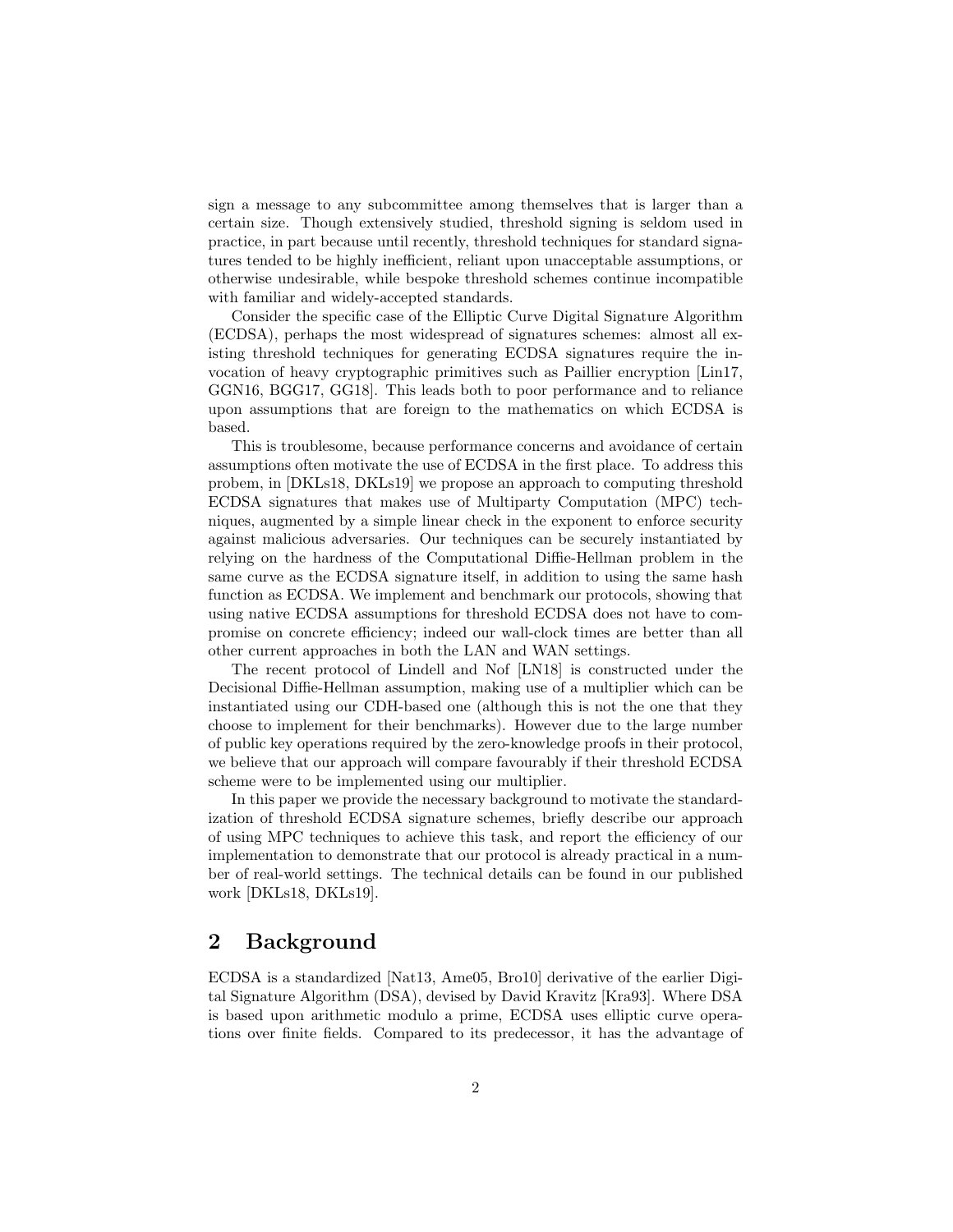sign a message to any subcommittee among themselves that is larger than a certain size. Though extensively studied, threshold signing is seldom used in practice, in part because until recently, threshold techniques for standard signatures tended to be highly inefficient, reliant upon unacceptable assumptions, or otherwise undesirable, while bespoke threshold schemes continue incompatible with familiar and widely-accepted standards.

Consider the specific case of the Elliptic Curve Digital Signature Algorithm (ECDSA), perhaps the most widespread of signatures schemes: almost all existing threshold techniques for generating ECDSA signatures require the invocation of heavy cryptographic primitives such as Paillier encryption [Lin17, GGN16, BGG17, GG18]. This leads both to poor performance and to reliance upon assumptions that are foreign to the mathematics on which ECDSA is based.

This is troublesome, because performance concerns and avoidance of certain assumptions often motivate the use of ECDSA in the first place. To address this probem, in [DKLs18, DKLs19] we propose an approach to computing threshold ECDSA signatures that makes use of Multiparty Computation (MPC) techniques, augmented by a simple linear check in the exponent to enforce security against malicious adversaries. Our techniques can be securely instantiated by relying on the hardness of the Computational Diffie-Hellman problem in the same curve as the ECDSA signature itself, in addition to using the same hash function as ECDSA. We implement and benchmark our protocols, showing that using native ECDSA assumptions for threshold ECDSA does not have to compromise on concrete efficiency; indeed our wall-clock times are better than all other current approaches in both the LAN and WAN settings.

The recent protocol of Lindell and Nof [LN18] is constructed under the Decisional Diffie-Hellman assumption, making use of a multiplier which can be instantiated using our CDH-based one (although this is not the one that they choose to implement for their benchmarks). However due to the large number of public key operations required by the zero-knowledge proofs in their protocol, we believe that our approach will compare favourably if their threshold ECDSA scheme were to be implemented using our multiplier.

In this paper we provide the necessary background to motivate the standardization of threshold ECDSA signature schemes, briefly describe our approach of using MPC techniques to achieve this task, and report the efficiency of our implementation to demonstrate that our protocol is already practical in a number of real-world settings. The technical details can be found in our published work [DKLs18, DKLs19].

## 2 Background

ECDSA is a standardized [Nat13, Ame05, Bro10] derivative of the earlier Digital Signature Algorithm (DSA), devised by David Kravitz [Kra93]. Where DSA is based upon arithmetic modulo a prime, ECDSA uses elliptic curve operations over finite fields. Compared to its predecessor, it has the advantage of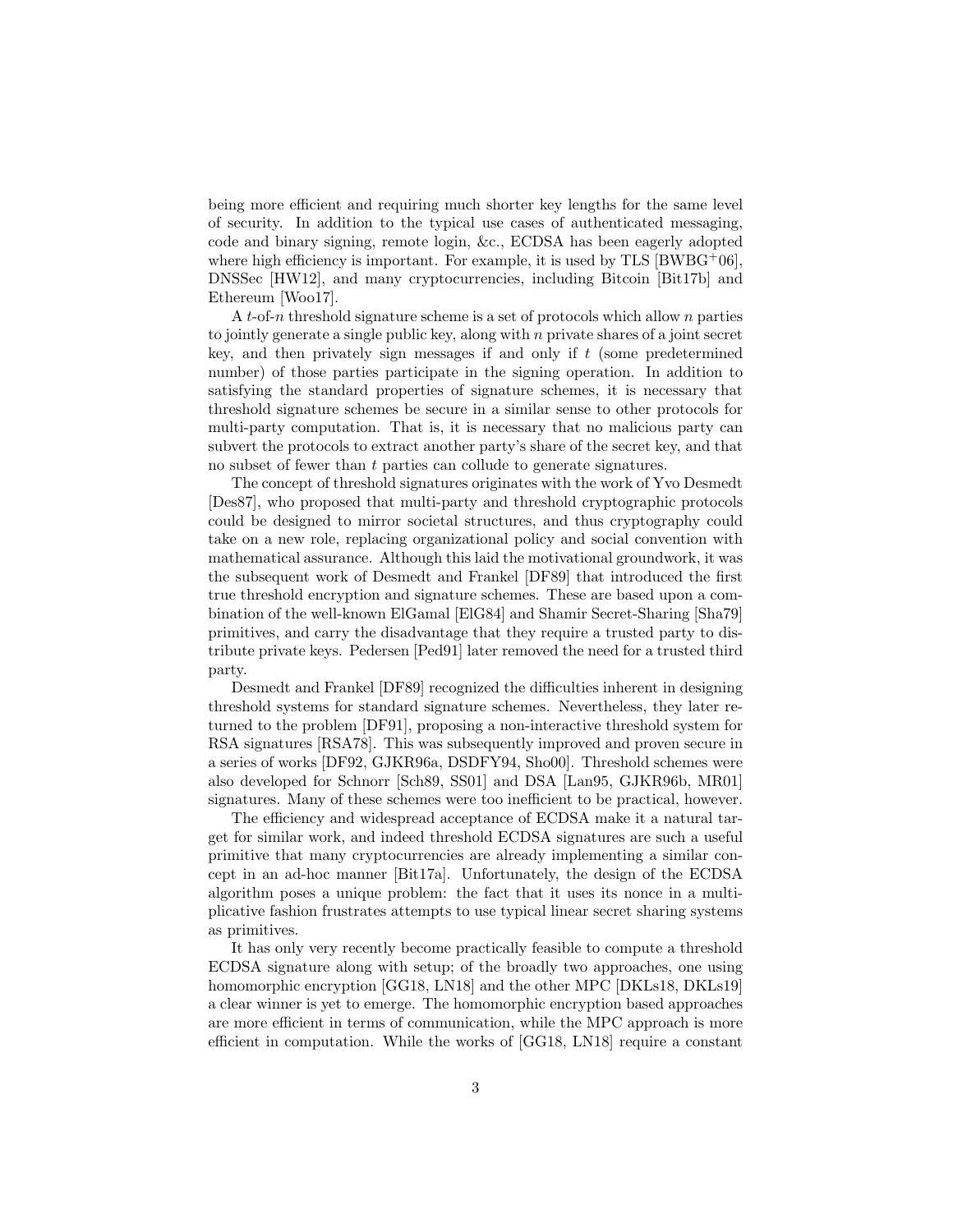being more efficient and requiring much shorter key lengths for the same level of security. In addition to the typical use cases of authenticated messaging, code and binary signing, remote login, &c., ECDSA has been eagerly adopted where high efficiency is important. For example, it is used by TLS  $[BWBG^+06]$ , DNSSec [HW12], and many cryptocurrencies, including Bitcoin [Bit17b] and Ethereum [Woo17].

A t-of-n threshold signature scheme is a set of protocols which allow n parties to jointly generate a single public key, along with  $n$  private shares of a joint secret key, and then privately sign messages if and only if  $t$  (some predetermined number) of those parties participate in the signing operation. In addition to satisfying the standard properties of signature schemes, it is necessary that threshold signature schemes be secure in a similar sense to other protocols for multi-party computation. That is, it is necessary that no malicious party can subvert the protocols to extract another party's share of the secret key, and that no subset of fewer than t parties can collude to generate signatures.

The concept of threshold signatures originates with the work of Yvo Desmedt [Des87], who proposed that multi-party and threshold cryptographic protocols could be designed to mirror societal structures, and thus cryptography could take on a new role, replacing organizational policy and social convention with mathematical assurance. Although this laid the motivational groundwork, it was the subsequent work of Desmedt and Frankel [DF89] that introduced the first true threshold encryption and signature schemes. These are based upon a combination of the well-known ElGamal [ElG84] and Shamir Secret-Sharing [Sha79] primitives, and carry the disadvantage that they require a trusted party to distribute private keys. Pedersen [Ped91] later removed the need for a trusted third party.

Desmedt and Frankel [DF89] recognized the difficulties inherent in designing threshold systems for standard signature schemes. Nevertheless, they later returned to the problem [DF91], proposing a non-interactive threshold system for RSA signatures [RSA78]. This was subsequently improved and proven secure in a series of works [DF92, GJKR96a, DSDFY94, Sho00]. Threshold schemes were also developed for Schnorr [Sch89, SS01] and DSA [Lan95, GJKR96b, MR01] signatures. Many of these schemes were too inefficient to be practical, however.

The efficiency and widespread acceptance of ECDSA make it a natural target for similar work, and indeed threshold ECDSA signatures are such a useful primitive that many cryptocurrencies are already implementing a similar concept in an ad-hoc manner [Bit17a]. Unfortunately, the design of the ECDSA algorithm poses a unique problem: the fact that it uses its nonce in a multiplicative fashion frustrates attempts to use typical linear secret sharing systems as primitives.

It has only very recently become practically feasible to compute a threshold ECDSA signature along with setup; of the broadly two approaches, one using homomorphic encryption [GG18, LN18] and the other MPC [DKLs18, DKLs19] a clear winner is yet to emerge. The homomorphic encryption based approaches are more efficient in terms of communication, while the MPC approach is more efficient in computation. While the works of [GG18, LN18] require a constant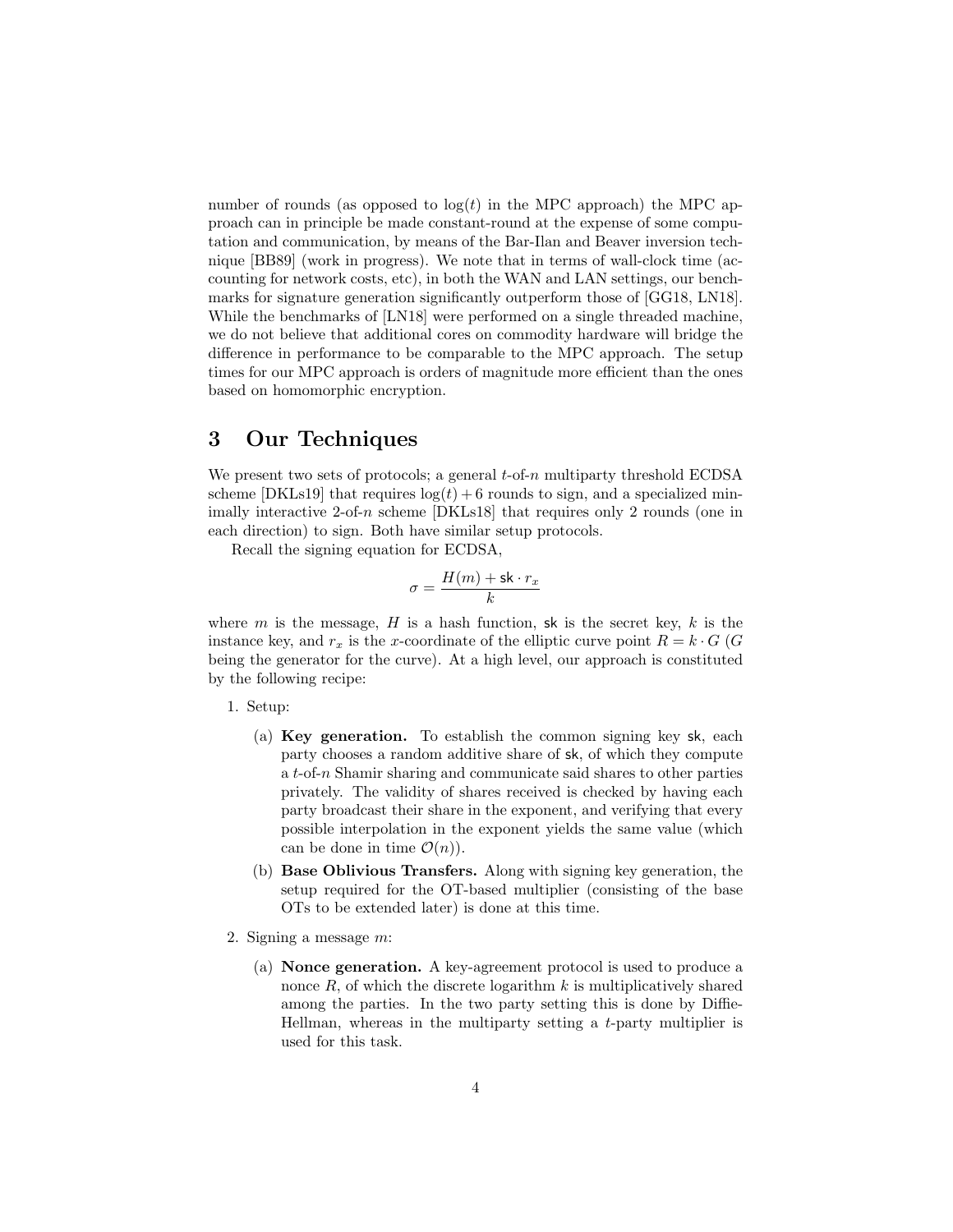number of rounds (as opposed to  $log(t)$  in the MPC approach) the MPC approach can in principle be made constant-round at the expense of some computation and communication, by means of the Bar-Ilan and Beaver inversion technique [BB89] (work in progress). We note that in terms of wall-clock time (accounting for network costs, etc), in both the WAN and LAN settings, our benchmarks for signature generation significantly outperform those of [GG18, LN18]. While the benchmarks of [LN18] were performed on a single threaded machine, we do not believe that additional cores on commodity hardware will bridge the difference in performance to be comparable to the MPC approach. The setup times for our MPC approach is orders of magnitude more efficient than the ones based on homomorphic encryption.

## 3 Our Techniques

We present two sets of protocols; a general  $t$ -of-n multiparty threshold ECDSA scheme [DKLs19] that requires  $log(t) + 6$  rounds to sign, and a specialized minimally interactive 2-of-n scheme [DKLs18] that requires only 2 rounds (one in each direction) to sign. Both have similar setup protocols.

Recall the signing equation for ECDSA,

$$
\sigma = \frac{H(m) + \mathsf{sk} \cdot r_x}{k}
$$

where m is the message,  $H$  is a hash function, sk is the secret key,  $k$  is the instance key, and  $r_x$  is the x-coordinate of the elliptic curve point  $R = k \cdot G$  (G being the generator for the curve). At a high level, our approach is constituted by the following recipe:

1. Setup:

- (a) Key generation. To establish the common signing key sk, each party chooses a random additive share of sk, of which they compute a t-of-n Shamir sharing and communicate said shares to other parties privately. The validity of shares received is checked by having each party broadcast their share in the exponent, and verifying that every possible interpolation in the exponent yields the same value (which can be done in time  $\mathcal{O}(n)$ .
- (b) Base Oblivious Transfers. Along with signing key generation, the setup required for the OT-based multiplier (consisting of the base OTs to be extended later) is done at this time.
- 2. Signing a message m:
	- (a) Nonce generation. A key-agreement protocol is used to produce a nonce  $R$ , of which the discrete logarithm  $k$  is multiplicatively shared among the parties. In the two party setting this is done by Diffie-Hellman, whereas in the multiparty setting a  $t$ -party multiplier is used for this task.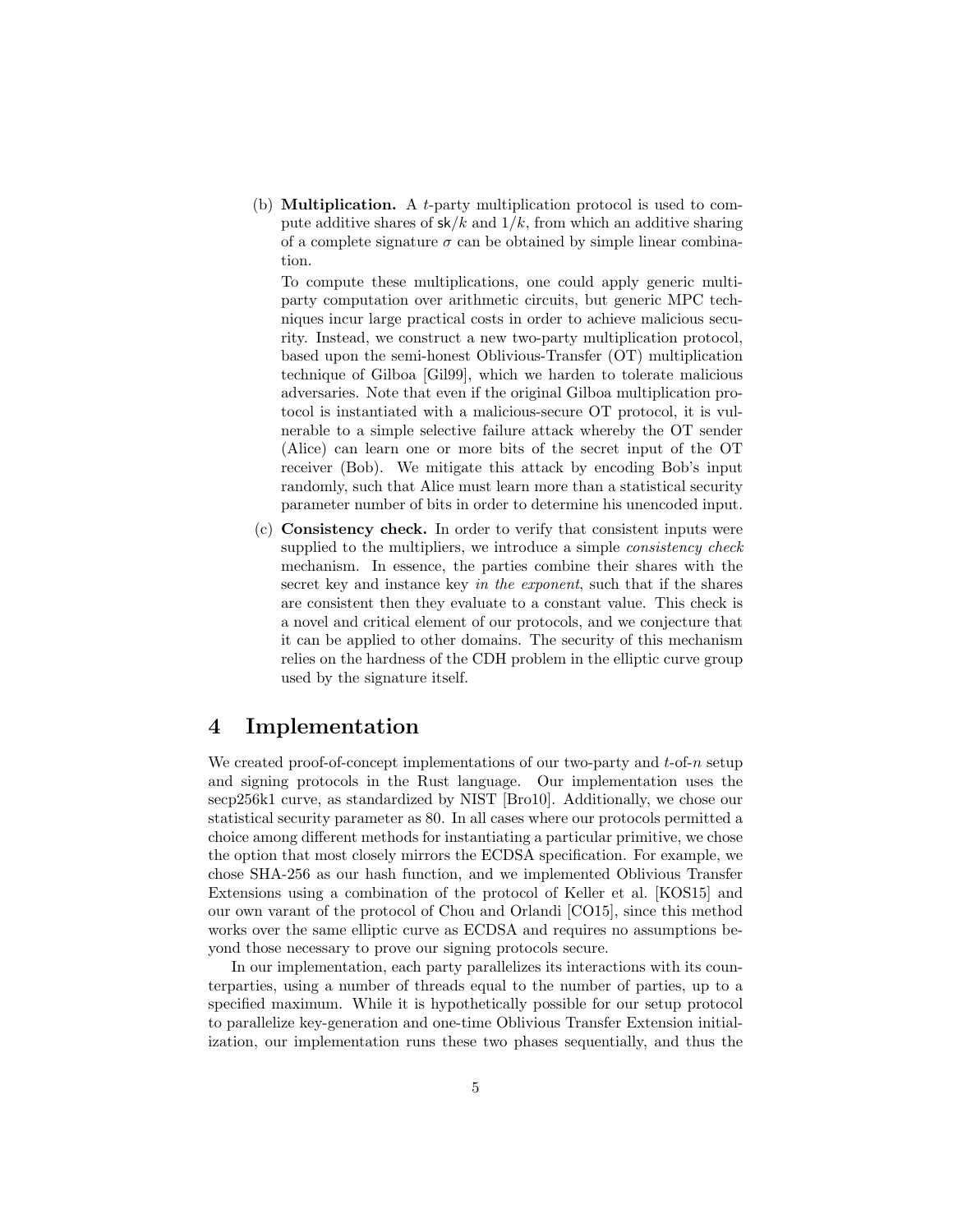(b) **Multiplication.** A *t*-party multiplication protocol is used to compute additive shares of  $sk/k$  and  $1/k$ , from which an additive sharing of a complete signature  $\sigma$  can be obtained by simple linear combination.

To compute these multiplications, one could apply generic multiparty computation over arithmetic circuits, but generic MPC techniques incur large practical costs in order to achieve malicious security. Instead, we construct a new two-party multiplication protocol, based upon the semi-honest Oblivious-Transfer (OT) multiplication technique of Gilboa [Gil99], which we harden to tolerate malicious adversaries. Note that even if the original Gilboa multiplication protocol is instantiated with a malicious-secure OT protocol, it is vulnerable to a simple selective failure attack whereby the OT sender (Alice) can learn one or more bits of the secret input of the OT receiver (Bob). We mitigate this attack by encoding Bob's input randomly, such that Alice must learn more than a statistical security parameter number of bits in order to determine his unencoded input.

(c) Consistency check. In order to verify that consistent inputs were supplied to the multipliers, we introduce a simple *consistency check* mechanism. In essence, the parties combine their shares with the secret key and instance key in the exponent, such that if the shares are consistent then they evaluate to a constant value. This check is a novel and critical element of our protocols, and we conjecture that it can be applied to other domains. The security of this mechanism relies on the hardness of the CDH problem in the elliptic curve group used by the signature itself.

## 4 Implementation

We created proof-of-concept implementations of our two-party and  $t$ -of-n setup and signing protocols in the Rust language. Our implementation uses the secp256k1 curve, as standardized by NIST [Bro10]. Additionally, we chose our statistical security parameter as 80. In all cases where our protocols permitted a choice among different methods for instantiating a particular primitive, we chose the option that most closely mirrors the ECDSA specification. For example, we chose SHA-256 as our hash function, and we implemented Oblivious Transfer Extensions using a combination of the protocol of Keller et al. [KOS15] and our own varant of the protocol of Chou and Orlandi [CO15], since this method works over the same elliptic curve as ECDSA and requires no assumptions beyond those necessary to prove our signing protocols secure.

In our implementation, each party parallelizes its interactions with its counterparties, using a number of threads equal to the number of parties, up to a specified maximum. While it is hypothetically possible for our setup protocol to parallelize key-generation and one-time Oblivious Transfer Extension initialization, our implementation runs these two phases sequentially, and thus the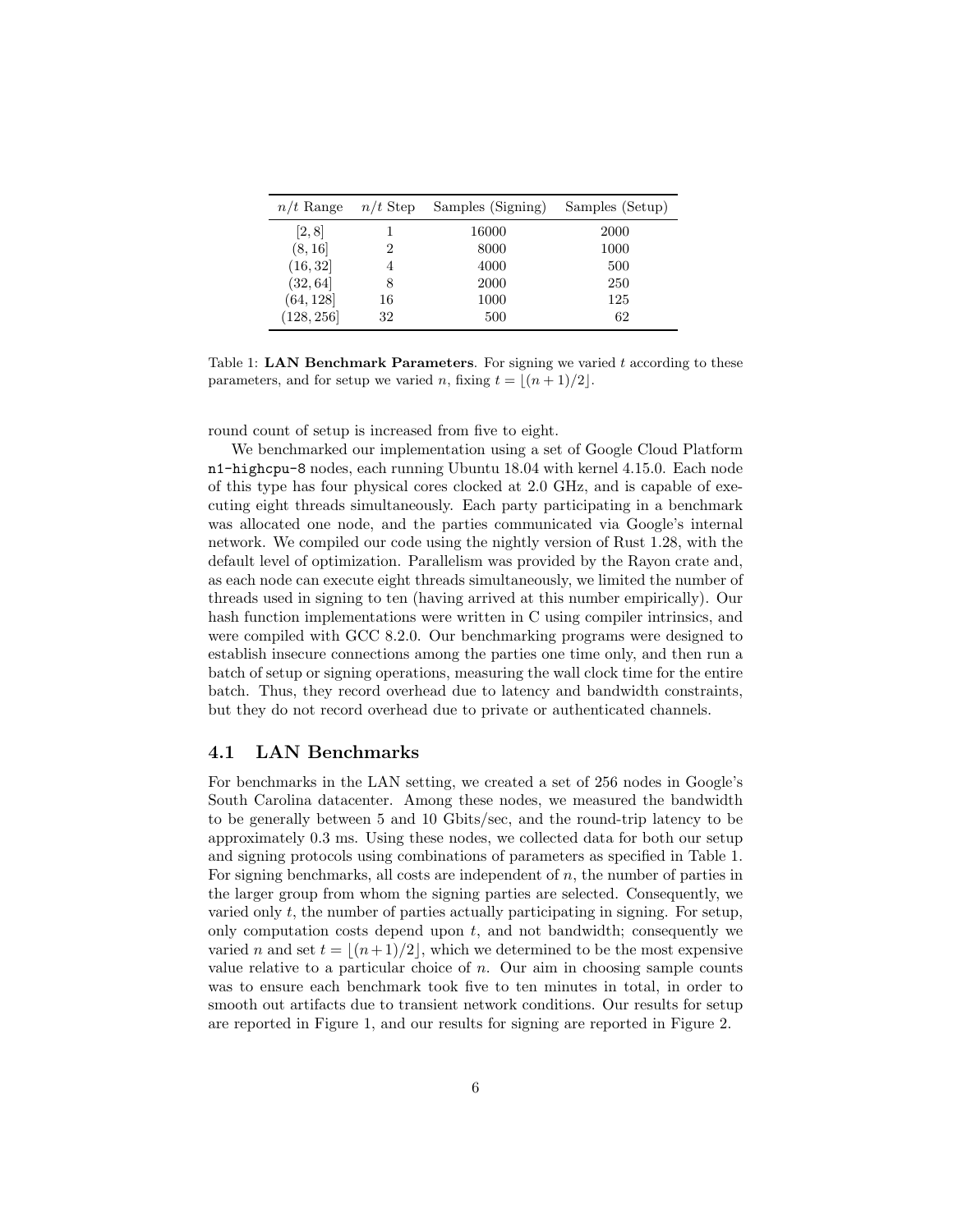| $n/t$ Range | $n/t$ Step     | Samples (Signing) | Samples (Setup) |
|-------------|----------------|-------------------|-----------------|
| [2, 8]      |                | 16000             | 2000            |
| (8, 16)     | 2              | 8000              | 1000            |
| (16, 32)    | $\overline{4}$ | 4000              | 500             |
| (32, 64]    | 8              | 2000              | 250             |
| (64, 128)   | 16             | 1000              | 125             |
| (128, 256)  | 32             | 500               | 62              |

Table 1: **LAN Benchmark Parameters**. For signing we varied  $t$  according to these parameters, and for setup we varied n, fixing  $t = \lfloor (n + 1)/2 \rfloor$ .

round count of setup is increased from five to eight.

We benchmarked our implementation using a set of Google Cloud Platform n1-highcpu-8 nodes, each running Ubuntu 18.04 with kernel 4.15.0. Each node of this type has four physical cores clocked at 2.0 GHz, and is capable of executing eight threads simultaneously. Each party participating in a benchmark was allocated one node, and the parties communicated via Google's internal network. We compiled our code using the nightly version of Rust 1.28, with the default level of optimization. Parallelism was provided by the Rayon crate and, as each node can execute eight threads simultaneously, we limited the number of threads used in signing to ten (having arrived at this number empirically). Our hash function implementations were written in C using compiler intrinsics, and were compiled with GCC 8.2.0. Our benchmarking programs were designed to establish insecure connections among the parties one time only, and then run a batch of setup or signing operations, measuring the wall clock time for the entire batch. Thus, they record overhead due to latency and bandwidth constraints, but they do not record overhead due to private or authenticated channels.

### 4.1 LAN Benchmarks

For benchmarks in the LAN setting, we created a set of 256 nodes in Google's South Carolina datacenter. Among these nodes, we measured the bandwidth to be generally between 5 and 10 Gbits/sec, and the round-trip latency to be approximately 0.3 ms. Using these nodes, we collected data for both our setup and signing protocols using combinations of parameters as specified in Table 1. For signing benchmarks, all costs are independent of  $n$ , the number of parties in the larger group from whom the signing parties are selected. Consequently, we varied only  $t$ , the number of parties actually participating in signing. For setup, only computation costs depend upon  $t$ , and not bandwidth; consequently we varied n and set  $t = \lfloor (n+1)/2 \rfloor$ , which we determined to be the most expensive value relative to a particular choice of  $n$ . Our aim in choosing sample counts was to ensure each benchmark took five to ten minutes in total, in order to smooth out artifacts due to transient network conditions. Our results for setup are reported in Figure 1, and our results for signing are reported in Figure 2.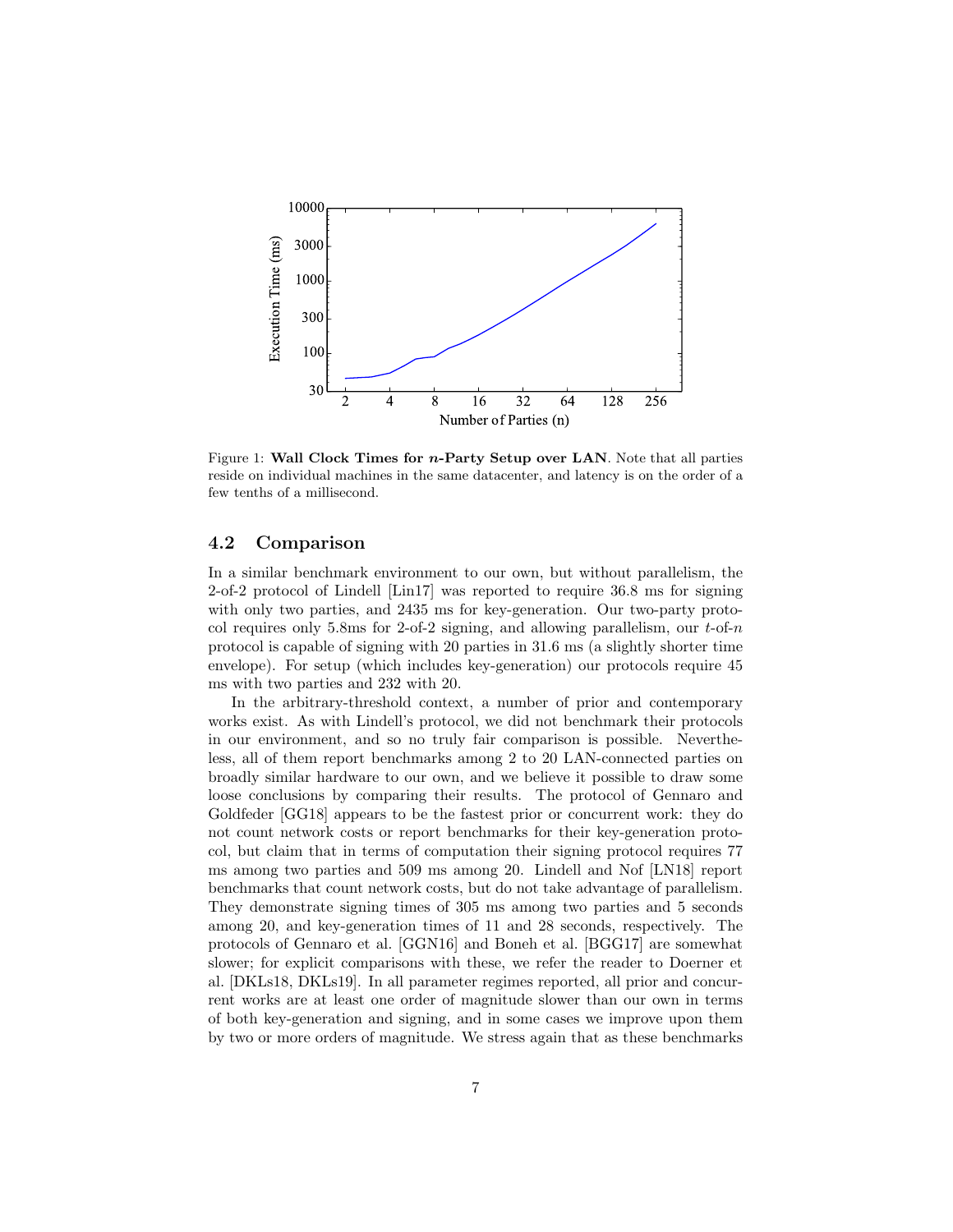

Figure 1: Wall Clock Times for  $n$ -Party Setup over LAN. Note that all parties reside on individual machines in the same datacenter, and latency is on the order of a few tenths of a millisecond.

#### 4.2 Comparison

In a similar benchmark environment to our own, but without parallelism, the 2-of-2 protocol of Lindell [Lin17] was reported to require 36.8 ms for signing with only two parties, and 2435 ms for key-generation. Our two-party protocol requires only 5.8ms for 2-of-2 signing, and allowing parallelism, our  $t$ -of-n protocol is capable of signing with 20 parties in 31.6 ms (a slightly shorter time envelope). For setup (which includes key-generation) our protocols require 45 ms with two parties and 232 with 20.

In the arbitrary-threshold context, a number of prior and contemporary works exist. As with Lindell's protocol, we did not benchmark their protocols in our environment, and so no truly fair comparison is possible. Nevertheless, all of them report benchmarks among 2 to 20 LAN-connected parties on broadly similar hardware to our own, and we believe it possible to draw some loose conclusions by comparing their results. The protocol of Gennaro and Goldfeder [GG18] appears to be the fastest prior or concurrent work: they do not count network costs or report benchmarks for their key-generation protocol, but claim that in terms of computation their signing protocol requires 77 ms among two parties and 509 ms among 20. Lindell and Nof [LN18] report benchmarks that count network costs, but do not take advantage of parallelism. They demonstrate signing times of 305 ms among two parties and 5 seconds among 20, and key-generation times of 11 and 28 seconds, respectively. The protocols of Gennaro et al. [GGN16] and Boneh et al. [BGG17] are somewhat slower; for explicit comparisons with these, we refer the reader to Doerner et al. [DKLs18, DKLs19]. In all parameter regimes reported, all prior and concurrent works are at least one order of magnitude slower than our own in terms of both key-generation and signing, and in some cases we improve upon them by two or more orders of magnitude. We stress again that as these benchmarks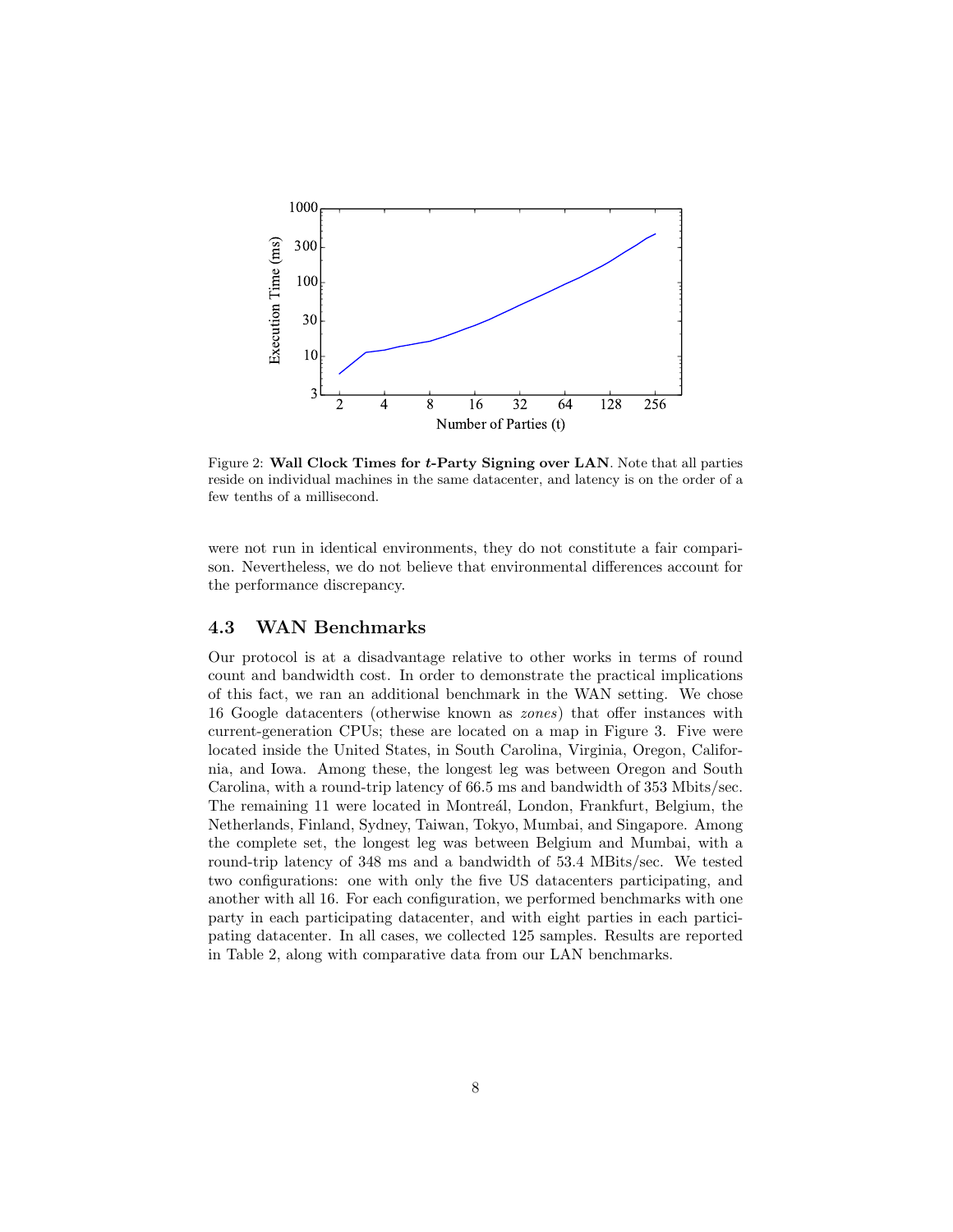

Figure 2: Wall Clock Times for t-Party Signing over LAN. Note that all parties reside on individual machines in the same datacenter, and latency is on the order of a few tenths of a millisecond.

were not run in identical environments, they do not constitute a fair comparison. Nevertheless, we do not believe that environmental differences account for the performance discrepancy.

#### 4.3 WAN Benchmarks

Our protocol is at a disadvantage relative to other works in terms of round count and bandwidth cost. In order to demonstrate the practical implications of this fact, we ran an additional benchmark in the WAN setting. We chose 16 Google datacenters (otherwise known as zones) that offer instances with current-generation CPUs; these are located on a map in Figure 3. Five were located inside the United States, in South Carolina, Virginia, Oregon, California, and Iowa. Among these, the longest leg was between Oregon and South Carolina, with a round-trip latency of 66.5 ms and bandwidth of 353 Mbits/sec. The remaining 11 were located in Montreál, London, Frankfurt, Belgium, the Netherlands, Finland, Sydney, Taiwan, Tokyo, Mumbai, and Singapore. Among the complete set, the longest leg was between Belgium and Mumbai, with a round-trip latency of 348 ms and a bandwidth of 53.4 MBits/sec. We tested two configurations: one with only the five US datacenters participating, and another with all 16. For each configuration, we performed benchmarks with one party in each participating datacenter, and with eight parties in each participating datacenter. In all cases, we collected 125 samples. Results are reported in Table 2, along with comparative data from our LAN benchmarks.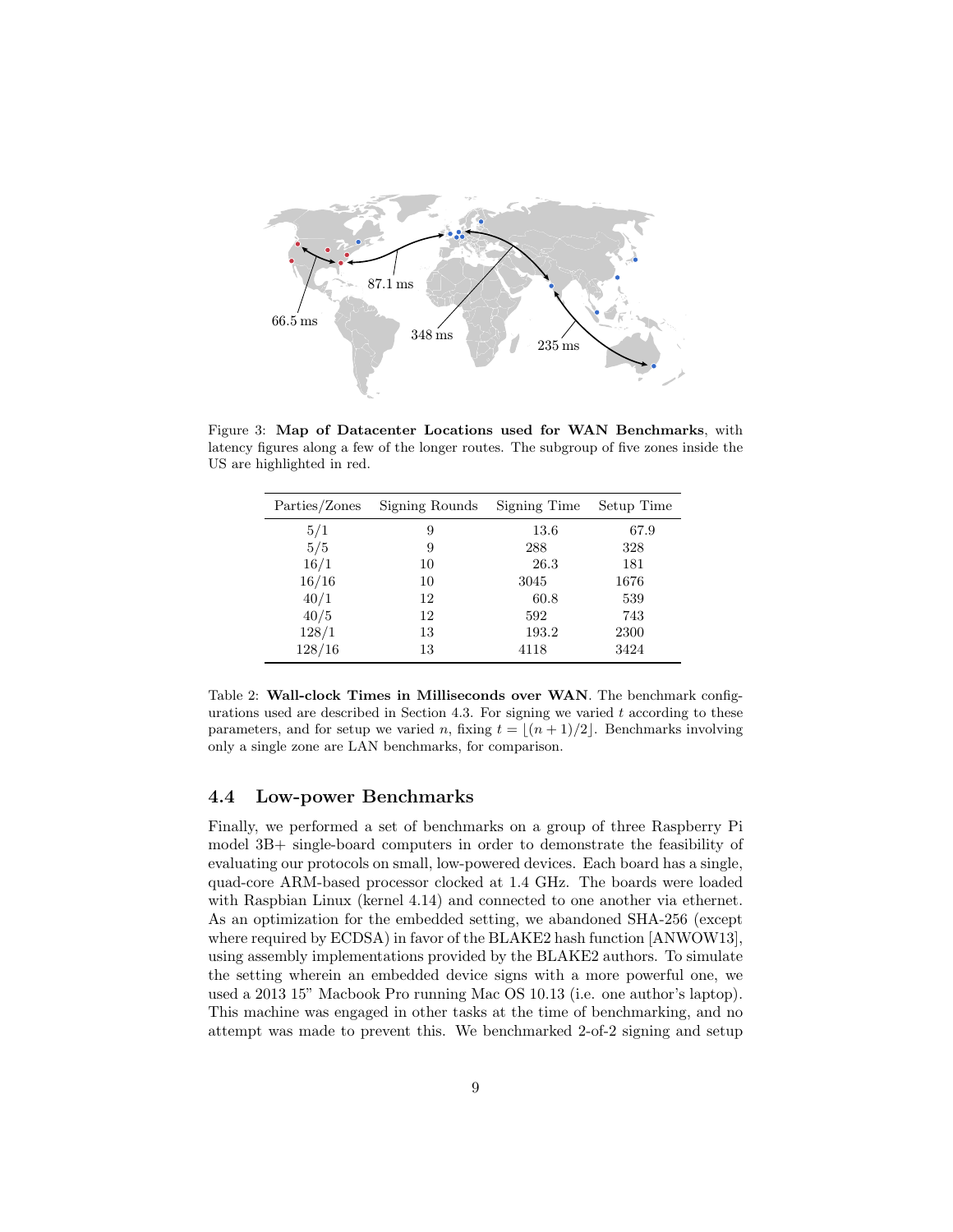

Figure 3: Map of Datacenter Locations used for WAN Benchmarks, with latency figures along a few of the longer routes. The subgroup of five zones inside the US are highlighted in red.

| Parties/Zones | Signing Rounds | Signing Time | Setup Time |
|---------------|----------------|--------------|------------|
| 5/1           | 9              | 13.6         | 67.9       |
| 5/5           | 9              | 288          | 328        |
| 16/1          | 10             | 26.3         | 181        |
| 16/16         | 10             | 3045         | 1676       |
| 40/1          | 12             | 60.8         | 539        |
| 40/5          | 12             | 592          | 743        |
| 128/1         | 13             | 193.2        | 2300       |
| 128/16        | 13             | 4118         | 3424       |

Table 2: Wall-clock Times in Milliseconds over WAN. The benchmark configurations used are described in Section 4.3. For signing we varied  $t$  according to these parameters, and for setup we varied n, fixing  $t = \lfloor (n + 1)/2 \rfloor$ . Benchmarks involving only a single zone are LAN benchmarks, for comparison.

#### 4.4 Low-power Benchmarks

Finally, we performed a set of benchmarks on a group of three Raspberry Pi model 3B+ single-board computers in order to demonstrate the feasibility of evaluating our protocols on small, low-powered devices. Each board has a single, quad-core ARM-based processor clocked at 1.4 GHz. The boards were loaded with Raspbian Linux (kernel 4.14) and connected to one another via ethernet. As an optimization for the embedded setting, we abandoned SHA-256 (except where required by ECDSA) in favor of the BLAKE2 hash function [ANWOW13], using assembly implementations provided by the BLAKE2 authors. To simulate the setting wherein an embedded device signs with a more powerful one, we used a 2013 15" Macbook Pro running Mac OS 10.13 (i.e. one author's laptop). This machine was engaged in other tasks at the time of benchmarking, and no attempt was made to prevent this. We benchmarked 2-of-2 signing and setup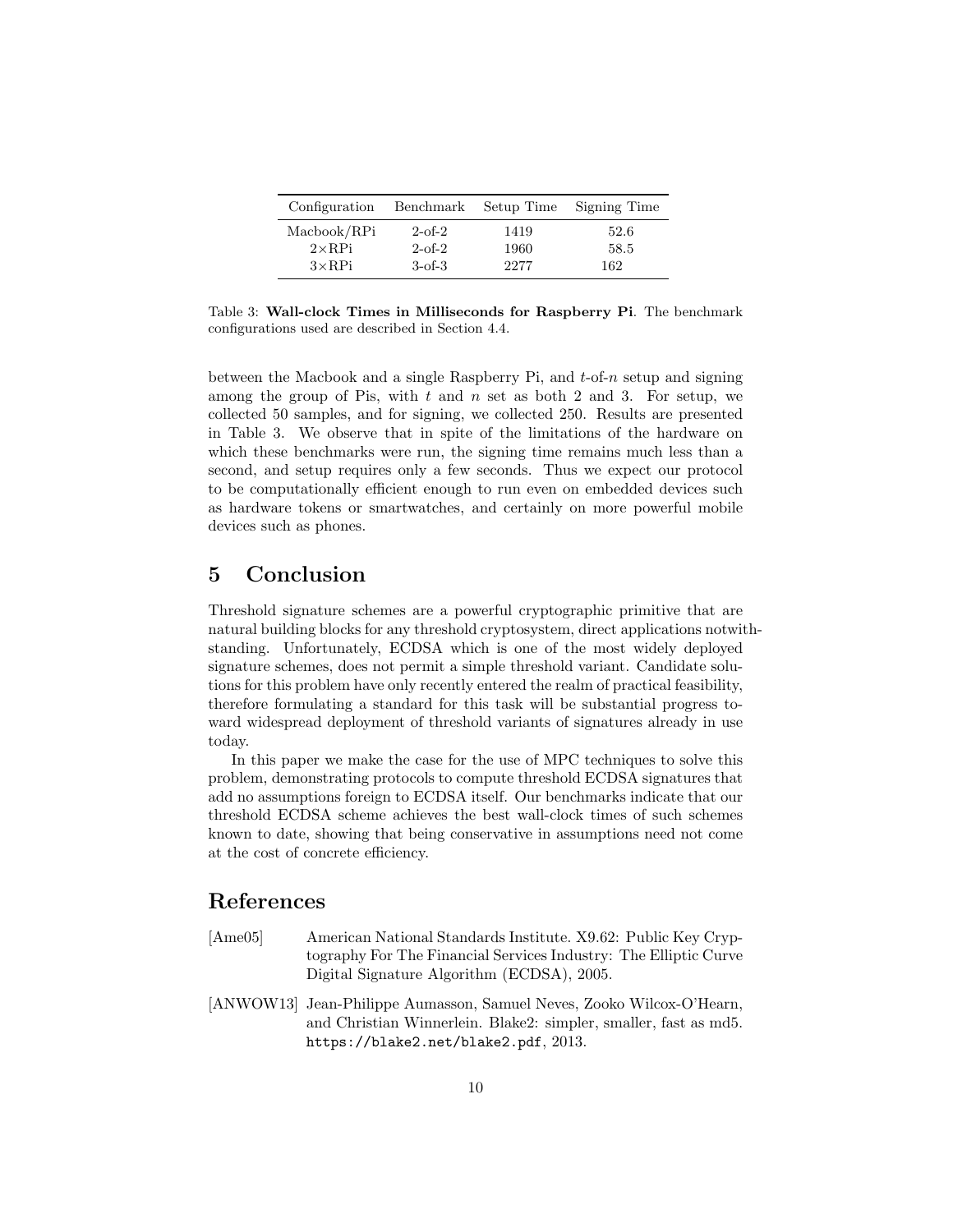| Configuration | Benchmark    | Setup Time | Signing Time |
|---------------|--------------|------------|--------------|
| Macbook/RPi   | $2$ -of- $2$ | 1419       | 52.6         |
| $2\times$ RPi | $2$ -of- $2$ | 1960       | 58.5         |
| $3\times$ RPi | $3-6f-3$     | 2277       | 162          |

Table 3: Wall-clock Times in Milliseconds for Raspberry Pi. The benchmark configurations used are described in Section 4.4.

between the Macbook and a single Raspberry Pi, and  $t$ -of-n setup and signing among the group of Pis, with  $t$  and  $n$  set as both 2 and 3. For setup, we collected 50 samples, and for signing, we collected 250. Results are presented in Table 3. We observe that in spite of the limitations of the hardware on which these benchmarks were run, the signing time remains much less than a second, and setup requires only a few seconds. Thus we expect our protocol to be computationally efficient enough to run even on embedded devices such as hardware tokens or smartwatches, and certainly on more powerful mobile devices such as phones.

## 5 Conclusion

Threshold signature schemes are a powerful cryptographic primitive that are natural building blocks for any threshold cryptosystem, direct applications notwithstanding. Unfortunately, ECDSA which is one of the most widely deployed signature schemes, does not permit a simple threshold variant. Candidate solutions for this problem have only recently entered the realm of practical feasibility, therefore formulating a standard for this task will be substantial progress toward widespread deployment of threshold variants of signatures already in use today.

In this paper we make the case for the use of MPC techniques to solve this problem, demonstrating protocols to compute threshold ECDSA signatures that add no assumptions foreign to ECDSA itself. Our benchmarks indicate that our threshold ECDSA scheme achieves the best wall-clock times of such schemes known to date, showing that being conservative in assumptions need not come at the cost of concrete efficiency.

## References

- [Ame05] American National Standards Institute. X9.62: Public Key Cryptography For The Financial Services Industry: The Elliptic Curve Digital Signature Algorithm (ECDSA), 2005.
- [ANWOW13] Jean-Philippe Aumasson, Samuel Neves, Zooko Wilcox-O'Hearn, and Christian Winnerlein. Blake2: simpler, smaller, fast as md5. https://blake2.net/blake2.pdf, 2013.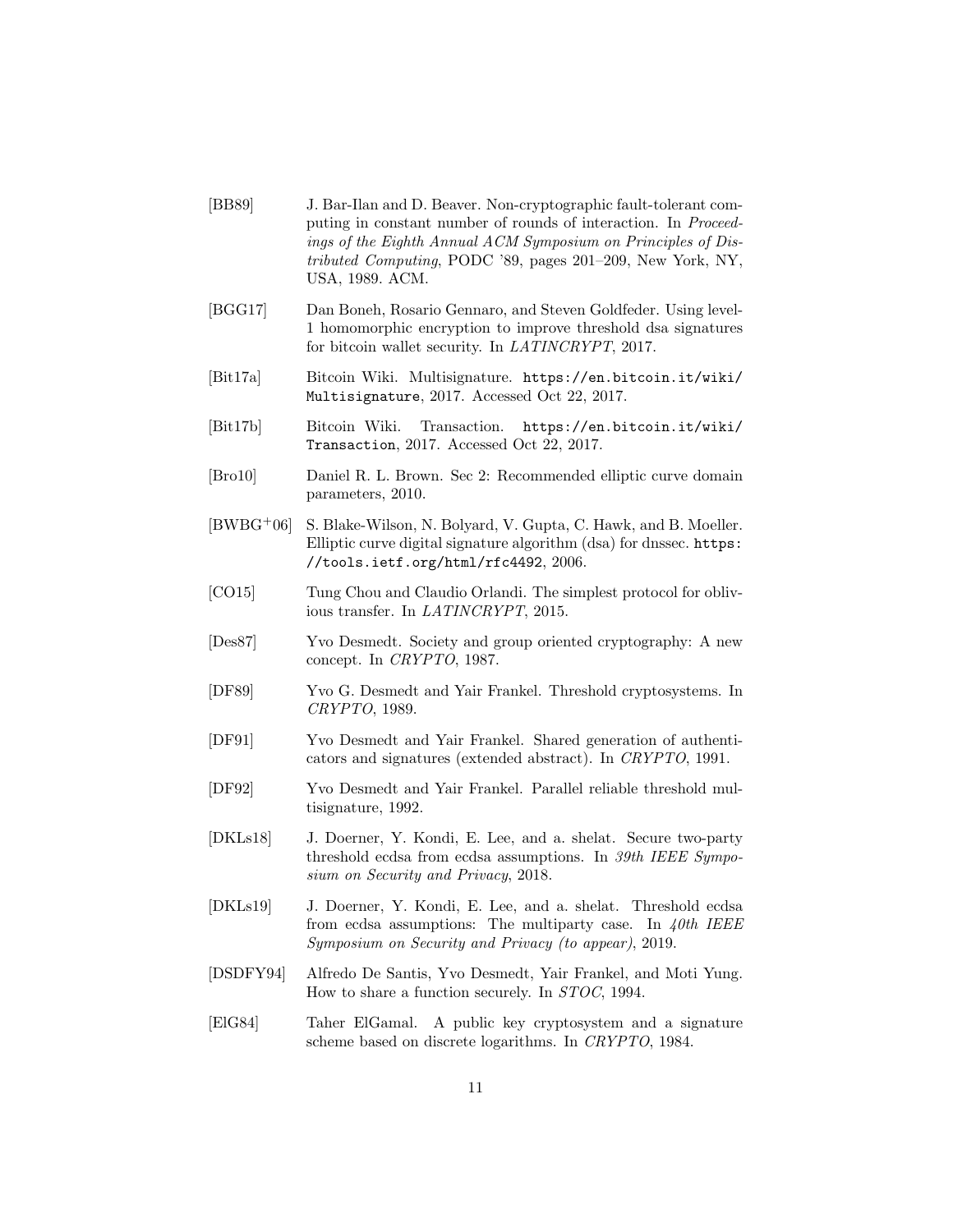- [BB89] J. Bar-Ilan and D. Beaver. Non-cryptographic fault-tolerant computing in constant number of rounds of interaction. In Proceedings of the Eighth Annual ACM Symposium on Principles of Distributed Computing, PODC '89, pages 201–209, New York, NY, USA, 1989. ACM.
- [BGG17] Dan Boneh, Rosario Gennaro, and Steven Goldfeder. Using level-1 homomorphic encryption to improve threshold dsa signatures for bitcoin wallet security. In LATINCRYPT, 2017.
- [Bit17a] Bitcoin Wiki. Multisignature. https://en.bitcoin.it/wiki/ Multisignature, 2017. Accessed Oct 22, 2017.
- [Bit17b] Bitcoin Wiki. Transaction. https://en.bitcoin.it/wiki/ Transaction, 2017. Accessed Oct 22, 2017.
- [Bro10] Daniel R. L. Brown. Sec 2: Recommended elliptic curve domain parameters, 2010.
- [BWBG+06] S. Blake-Wilson, N. Bolyard, V. Gupta, C. Hawk, and B. Moeller. Elliptic curve digital signature algorithm (dsa) for dnssec. https: //tools.ietf.org/html/rfc4492, 2006.
- [CO15] Tung Chou and Claudio Orlandi. The simplest protocol for oblivious transfer. In LATINCRYPT, 2015.
- [Des87] Yvo Desmedt. Society and group oriented cryptography: A new concept. In CRYPTO, 1987.
- [DF89] Yvo G. Desmedt and Yair Frankel. Threshold cryptosystems. In CRYPTO, 1989.
- [DF91] Yvo Desmedt and Yair Frankel. Shared generation of authenticators and signatures (extended abstract). In CRYPTO, 1991.
- [DF92] Yvo Desmedt and Yair Frankel. Parallel reliable threshold multisignature, 1992.
- [DKLs18] J. Doerner, Y. Kondi, E. Lee, and a. shelat. Secure two-party threshold ecdsa from ecdsa assumptions. In 39th IEEE Symposium on Security and Privacy, 2018.
- [DKLs19] J. Doerner, Y. Kondi, E. Lee, and a. shelat. Threshold ecdsa from ecdsa assumptions: The multiparty case. In  $40th$  IEEE Symposium on Security and Privacy (to appear), 2019.
- [DSDFY94] Alfredo De Santis, Yvo Desmedt, Yair Frankel, and Moti Yung. How to share a function securely. In STOC, 1994.
- [ElG84] Taher ElGamal. A public key cryptosystem and a signature scheme based on discrete logarithms. In CRYPTO, 1984.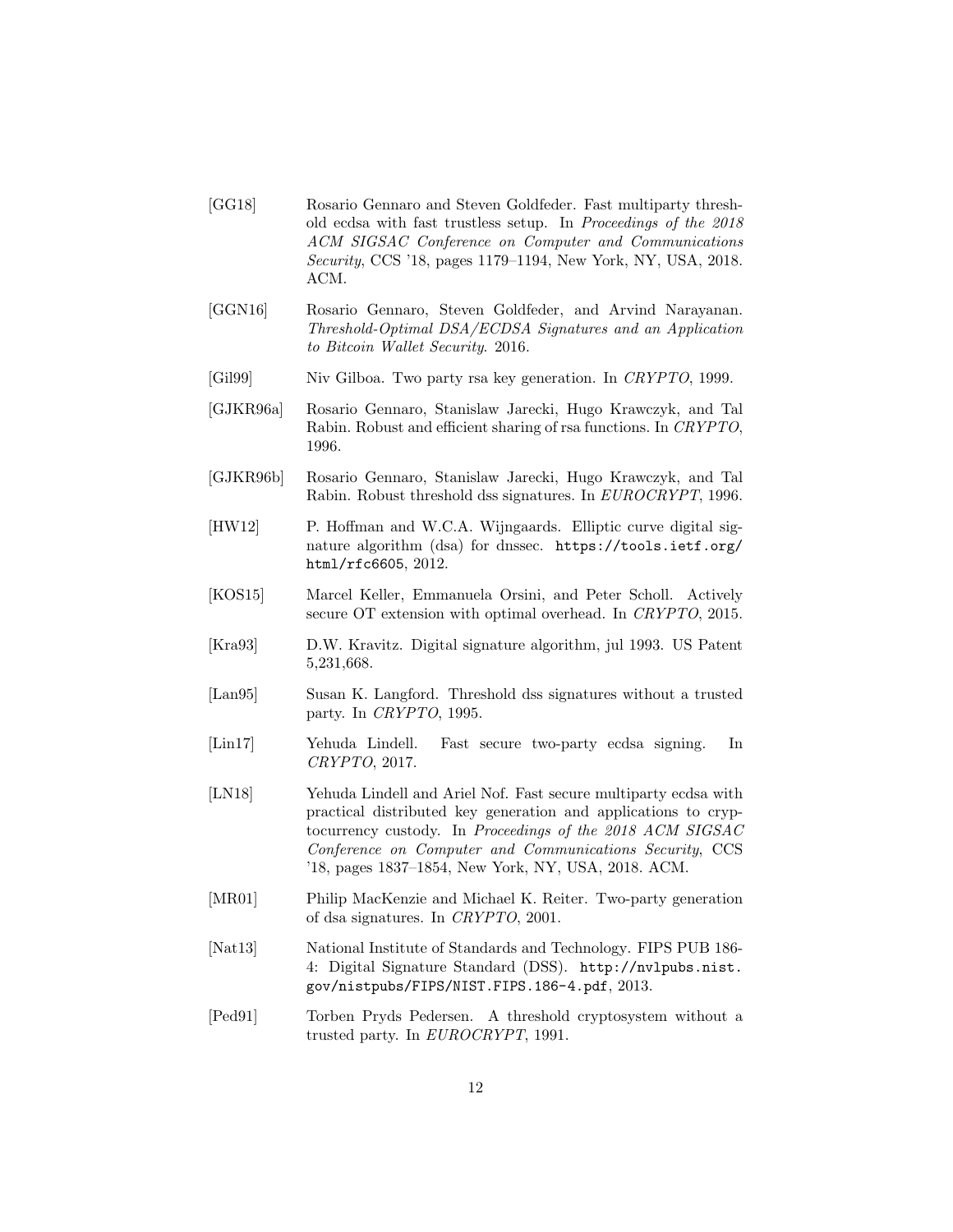- [GG18] Rosario Gennaro and Steven Goldfeder. Fast multiparty threshold ecdsa with fast trustless setup. In Proceedings of the 2018 ACM SIGSAC Conference on Computer and Communications Security, CCS '18, pages 1179–1194, New York, NY, USA, 2018. ACM.
- [GGN16] Rosario Gennaro, Steven Goldfeder, and Arvind Narayanan. Threshold-Optimal DSA/ECDSA Signatures and an Application to Bitcoin Wallet Security. 2016.
- [Gil99] Niv Gilboa. Two party rsa key generation. In CRYPTO, 1999.
- [GJKR96a] Rosario Gennaro, Stanislaw Jarecki, Hugo Krawczyk, and Tal Rabin. Robust and efficient sharing of rsa functions. In CRYPTO, 1996.
- [GJKR96b] Rosario Gennaro, Stanislaw Jarecki, Hugo Krawczyk, and Tal Rabin. Robust threshold dss signatures. In EUROCRYPT, 1996.
- [HW12] P. Hoffman and W.C.A. Wijngaards. Elliptic curve digital signature algorithm (dsa) for dnssec. https://tools.ietf.org/ html/rfc6605, 2012.
- [KOS15] Marcel Keller, Emmanuela Orsini, and Peter Scholl. Actively secure OT extension with optimal overhead. In CRYPTO, 2015.
- [Kra93] D.W. Kravitz. Digital signature algorithm, jul 1993. US Patent 5,231,668.
- [Lan95] Susan K. Langford. Threshold dss signatures without a trusted party. In CRYPTO, 1995.
- [Lin17] Yehuda Lindell. Fast secure two-party ecdsa signing. In CRYPTO, 2017.
- [LN18] Yehuda Lindell and Ariel Nof. Fast secure multiparty ecdsa with practical distributed key generation and applications to cryptocurrency custody. In Proceedings of the 2018 ACM SIGSAC Conference on Computer and Communications Security, CCS '18, pages 1837–1854, New York, NY, USA, 2018. ACM.
- [MR01] Philip MacKenzie and Michael K. Reiter. Two-party generation of dsa signatures. In CRYPTO, 2001.
- [Nat13] National Institute of Standards and Technology. FIPS PUB 186- 4: Digital Signature Standard (DSS). http://nvlpubs.nist. gov/nistpubs/FIPS/NIST.FIPS.186-4.pdf, 2013.
- [Ped91] Torben Pryds Pedersen. A threshold cryptosystem without a trusted party. In EUROCRYPT, 1991.